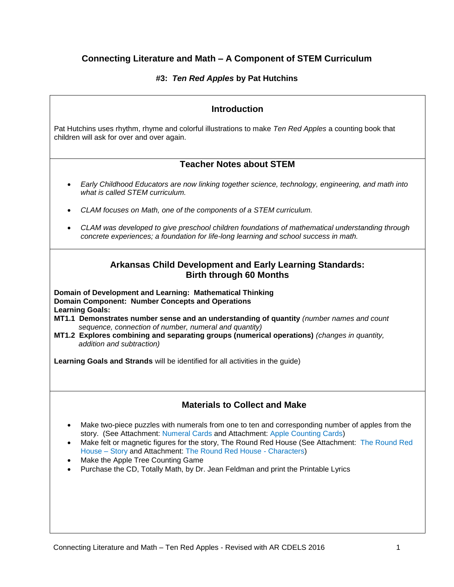# **Connecting Literature and Math – A Component of STEM Curriculum**

## **#3:** *Ten Red Apples* **by Pat Hutchins**

## **Introduction**

Pat Hutchins uses rhythm, rhyme and colorful illustrations to make *Ten Red Apples* a counting book that children will ask for over and over again.

## **Teacher Notes about STEM**

- *Early Childhood Educators are now linking together science, technology, engineering, and math into what is called STEM curriculum.*
- *CLAM focuses on Math, one of the components of a STEM curriculum.*
- *CLAM was developed to give preschool children foundations of mathematical understanding through concrete experiences; a foundation for life-long learning and school success in math.*

## **Arkansas Child Development and Early Learning Standards: Birth through 60 Months**

**Domain of Development and Learning: Mathematical Thinking Domain Component: Number Concepts and Operations Learning Goals:**

- **MT1.1 Demonstrates number sense and an understanding of quantity** *(number names and count sequence, connection of number, numeral and quantity)*
- **MT1.2 Explores combining and separating groups (numerical operations)** *(changes in quantity, addition and subtraction)*

**Learning Goals and Strands** will be identified for all activities in the guide)

# **Materials to Collect and Make**

- Make two-piece puzzles with numerals from one to ten and corresponding number of apples from the story. (See Attachment: Numeral Cards and Attachment: Apple Counting Cards)
- Make felt or magnetic figures for the story, The Round Red House (See Attachment: The Round Red House – Story and Attachment: The Round Red House - Characters)
- Make the Apple Tree Counting Game
- Purchase the CD, Totally Math, by Dr. Jean Feldman and print the Printable Lyrics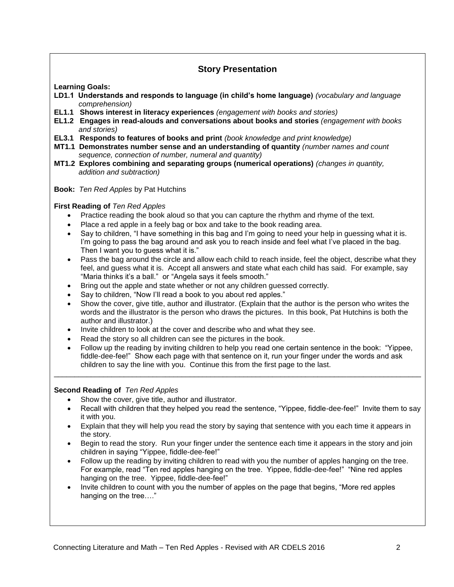# **Story Presentation**

**Learning Goals:** 

- **LD1.1 Understands and responds to language (in child's home language)** *(vocabulary and language comprehension)*
- **EL1.1 Shows interest in literacy experiences** *(engagement with books and stories)*
- **EL1.2 Engages in read-alouds and conversations about books and stories** *(engagement with books and stories)*
- **EL3.1 Responds to features of books and print** *(book knowledge and print knowledge)*
- **MT1.1 Demonstrates number sense and an understanding of quantity** *(number names and count sequence, connection of number, numeral and quantity)*
- **MT1.2 Explores combining and separating groups (numerical operations)** *(changes in quantity, addition and subtraction)*
- **Book:** *Ten Red Apples* by Pat Hutchins

## **First Reading of** *Ten Red Apples*

- Practice reading the book aloud so that you can capture the rhythm and rhyme of the text.
- Place a red apple in a feely bag or box and take to the book reading area.
- Say to children, "I have something in this bag and I'm going to need your help in guessing what it is. I'm going to pass the bag around and ask you to reach inside and feel what I've placed in the bag. Then I want you to guess what it is."
- Pass the bag around the circle and allow each child to reach inside, feel the object, describe what they feel, and guess what it is. Accept all answers and state what each child has said. For example, say "Maria thinks it's a ball." or "Angela says it feels smooth."
- Bring out the apple and state whether or not any children guessed correctly.
- Say to children, "Now I'll read a book to you about red apples."
- Show the cover, give title, author and illustrator. (Explain that the author is the person who writes the words and the illustrator is the person who draws the pictures. In this book, Pat Hutchins is both the author and illustrator.)
- Invite children to look at the cover and describe who and what they see.
- Read the story so all children can see the pictures in the book.
- Follow up the reading by inviting children to help you read one certain sentence in the book: "Yippee, fiddle-dee-fee!" Show each page with that sentence on it, run your finger under the words and ask children to say the line with you. Continue this from the first page to the last.

\_\_\_\_\_\_\_\_\_\_\_\_\_\_\_\_\_\_\_\_\_\_\_\_\_\_\_\_\_\_\_\_\_\_\_\_\_\_\_\_\_\_\_\_\_\_\_\_\_\_\_\_\_\_\_\_\_\_\_\_\_\_\_\_\_\_\_\_\_\_\_\_\_\_\_\_\_\_\_\_\_\_\_\_\_\_\_\_\_

#### **Second Reading of** *Ten Red Apples*

- Show the cover, give title, author and illustrator.
- Recall with children that they helped you read the sentence, "Yippee, fiddle-dee-fee!" Invite them to say it with you.
- Explain that they will help you read the story by saying that sentence with you each time it appears in the story.
- Begin to read the story. Run your finger under the sentence each time it appears in the story and join children in saying "Yippee, fiddle-dee-fee!"
- Follow up the reading by inviting children to read with you the number of apples hanging on the tree. For example, read "Ten red apples hanging on the tree. Yippee, fiddle-dee-fee!" "Nine red apples hanging on the tree. Yippee, fiddle-dee-fee!"
- Invite children to count with you the number of apples on the page that begins, "More red apples hanging on the tree…."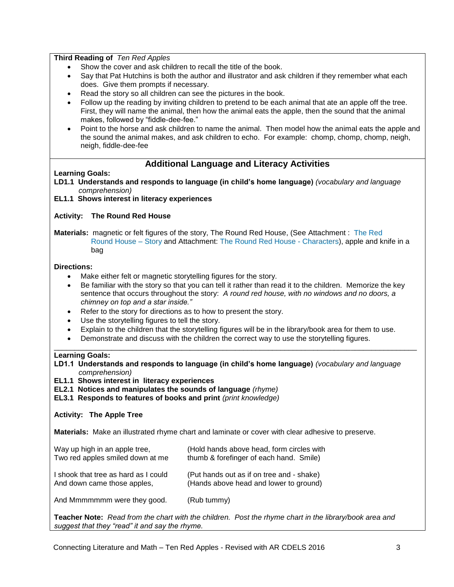### **Third Reading of** *Ten Red Apples*

- Show the cover and ask children to recall the title of the book.
- Say that Pat Hutchins is both the author and illustrator and ask children if they remember what each does. Give them prompts if necessary.
- Read the story so all children can see the pictures in the book.
- Follow up the reading by inviting children to pretend to be each animal that ate an apple off the tree. First, they will name the animal, then how the animal eats the apple, then the sound that the animal makes, followed by "fiddle-dee-fee."
- Point to the horse and ask children to name the animal. Then model how the animal eats the apple and the sound the animal makes, and ask children to echo. For example: chomp, chomp, chomp, neigh, neigh, fiddle-dee-fee

## **Additional Language and Literacy Activities**

### **Learning Goals:**

**LD1.1 Understands and responds to language (in child's home language)** *(vocabulary and language comprehension)*

### **EL1.1 Shows interest in literacy experiences**

### **Activity: The Round Red House**

### **Materials:** magnetic or felt figures of the story, The Round Red House, (See Attachment : The Red Round House – Story and Attachment: The Round Red House - Characters), apple and knife in a bag

#### **Directions:**

- Make either felt or magnetic storytelling figures for the story.
- Be familiar with the story so that you can tell it rather than read it to the children. Memorize the key sentence that occurs throughout the story: *A round red house, with no windows and no doors, a chimney on top and a star inside."*
- Refer to the story for directions as to how to present the story.
- Use the storytelling figures to tell the story.
- Explain to the children that the storytelling figures will be in the library/book area for them to use.

\_\_\_\_\_\_\_\_\_\_\_\_\_\_\_\_\_\_\_\_\_\_\_\_\_\_\_\_\_\_\_\_\_\_\_\_\_\_\_\_\_\_\_\_\_\_\_\_\_\_\_\_\_\_\_\_\_\_\_\_\_\_\_\_\_\_\_\_\_\_\_\_\_\_\_\_\_\_\_\_\_\_\_\_\_\_\_\_

Demonstrate and discuss with the children the correct way to use the storytelling figures.

#### **Learning Goals:**

**LD1.1 Understands and responds to language (in child's home language)** *(vocabulary and language comprehension)*

**EL1.1 Shows interest in literacy experiences** 

**EL2.1 Notices and manipulates the sounds of language** *(rhyme)*

**EL3.1 Responds to features of books and print** *(print knowledge)*

#### **Activity: The Apple Tree**

**Materials:** Make an illustrated rhyme chart and laminate or cover with clear adhesive to preserve.

| Way up high in an apple tree,        | (Hold hands above head, form circles with |
|--------------------------------------|-------------------------------------------|
| Two red apples smiled down at me     | thumb & forefinger of each hand. Smile)   |
| I shook that tree as hard as I could | (Put hands out as if on tree and - shake) |
| And down came those apples,          | (Hands above head and lower to ground)    |
| And Mmmmmmm were they good.          | (Rub tummy)                               |

**Teacher Note:** *Read from the chart with the children. Post the rhyme chart in the library/book area and suggest that they "read" it and say the rhyme.*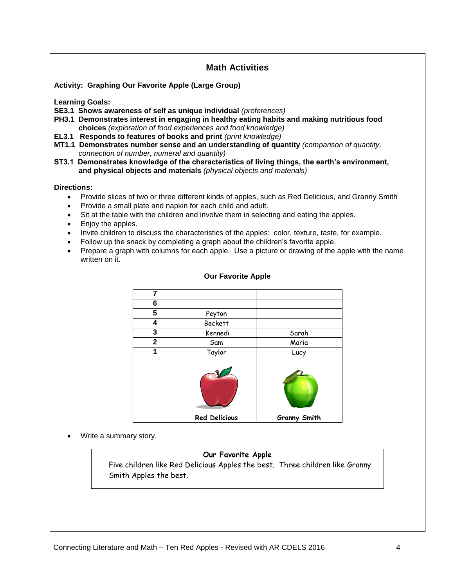# **Math Activities**

**Activity: Graphing Our Favorite Apple (Large Group)**

**Learning Goals:**

- **SE3.1 Shows awareness of self as unique individual** *(preferences)*
- **PH3.1 Demonstrates interest in engaging in healthy eating habits and making nutritious food choices** *(exploration of food experiences and food knowledge)*
- **EL3.1 Responds to features of books and print** *(print knowledge)*
- **MT1.1 Demonstrates number sense and an understanding of quantity** *(comparison of quantity, connection of number, numeral and quantity)*
- **ST3.1 Demonstrates knowledge of the characteristics of living things, the earth's environment, and physical objects and materials** *(physical objects and materials)*

#### **Directions:**

- Provide slices of two or three different kinds of apples, such as Red Delicious, and Granny Smith
- Provide a small plate and napkin for each child and adult.
- Sit at the table with the children and involve them in selecting and eating the apples.
- Enjoy the apples.
- Invite children to discuss the characteristics of the apples: color, texture, taste, for example.
- Follow up the snack by completing a graph about the children's favorite apple.
- Prepare a graph with columns for each apple. Use a picture or drawing of the apple with the name written on it.

| 7            |                      |                     |
|--------------|----------------------|---------------------|
| 6            |                      |                     |
| 5            | Peyton               |                     |
| 4            | <b>Beckett</b>       |                     |
| 3            | Kennedi              | Sarah               |
| $\mathbf{2}$ | Sam                  | Maria               |
| 1            | Taylor               | Lucy                |
|              |                      |                     |
|              | <b>Red Delicious</b> | <b>Granny Smith</b> |

### **Our Favorite Apple**

Write a summary story.

## **Our Favorite Apple**

Five children like Red Delicious Apples the best. Three children like Granny Smith Apples the best.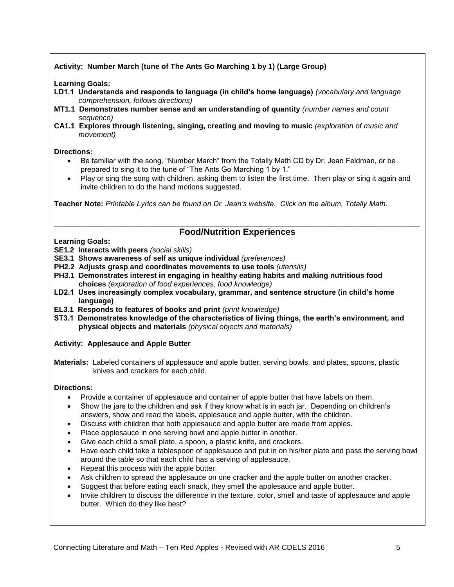## **Activity: Number March (tune of The Ants Go Marching 1 by 1) (Large Group)**

**Learning Goals:**

- **LD1.1 Understands and responds to language (in child's home language)** *(vocabulary and language comprehension, follows directions)*
- **MT1.1 Demonstrates number sense and an understanding of quantity** *(number names and count sequence)*
- **CA1.1 Explores through listening, singing, creating and moving to music** *(exploration of music and movement)*

#### **Directions:**

- Be familiar with the song, "Number March" from the Totally Math CD by Dr. Jean Feldman, or be prepared to sing it to the tune of "The Ants Go Marching 1 by 1."
- Play or sing the song with children, asking them to listen the first time. Then play or sing it again and invite children to do the hand motions suggested.

**Teacher Note:** *Printable Lyrics can be found on Dr. Jean's website. Click on the album, Totally Math.* 

## \_\_\_\_\_\_\_\_\_\_\_\_\_\_\_\_\_\_\_\_\_\_\_\_\_\_\_\_\_\_\_\_\_\_\_\_\_\_\_\_\_\_\_\_\_\_\_\_\_\_\_\_\_\_\_\_\_\_\_\_\_\_\_\_\_\_\_\_\_\_\_\_\_\_ **Food/Nutrition Experiences**

**Learning Goals:**

- **SE1.2 Interacts with peers** *(social skills)*
- **SE3.1 Shows awareness of self as unique individual** *(preferences)*
- **PH2.2 Adjusts grasp and coordinates movements to use tools** *(utensils)*
- **PH3.1 Demonstrates interest in engaging in healthy eating habits and making nutritious food choices** *(exploration of food experiences, food knowledge)*
- **LD2.1 Uses increasingly complex vocabulary, grammar, and sentence structure (in child's home language)**
- **EL3.1 Responds to features of books and print** *(print knowledge)*
- **ST3.1 Demonstrates knowledge of the characteristics of living things, the earth's environment, and physical objects and materials** *(physical objects and materials)*

**Activity: Applesauce and Apple Butter**

**Materials:** Labeled containers of applesauce and apple butter, serving bowls, and plates, spoons, plastic knives and crackers for each child.

## **Directions:**

- Provide a container of applesauce and container of apple butter that have labels on them.
- Show the jars to the children and ask if they know what is in each jar. Depending on children's answers, show and read the labels, applesauce and apple butter, with the children.
- Discuss with children that both applesauce and apple butter are made from apples.
- Place applesauce in one serving bowl and apple butter in another.
- Give each child a small plate, a spoon, a plastic knife, and crackers.
- Have each child take a tablespoon of applesauce and put in on his/her plate and pass the serving bowl around the table so that each child has a serving of applesauce.
- Repeat this process with the apple butter.
- Ask children to spread the applesauce on one cracker and the apple butter on another cracker.
- Suggest that before eating each snack, they smell the applesauce and apple butter.
- Invite children to discuss the difference in the texture, color, smell and taste of applesauce and apple butter. Which do they like best?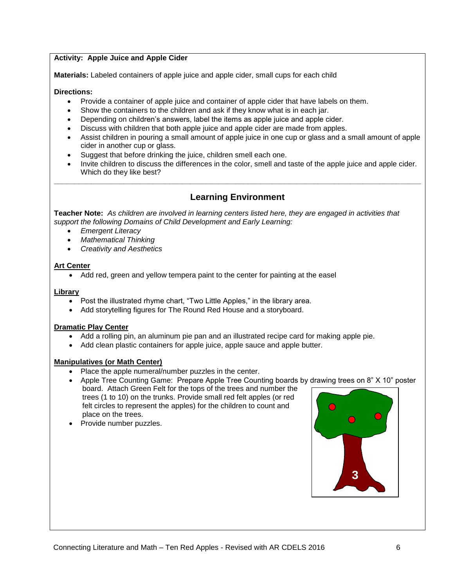## **Activity: Apple Juice and Apple Cider**

**Materials:** Labeled containers of apple juice and apple cider, small cups for each child

### **Directions:**

- Provide a container of apple juice and container of apple cider that have labels on them.
- Show the containers to the children and ask if they know what is in each jar.
- Depending on children's answers, label the items as apple juice and apple cider.
- Discuss with children that both apple juice and apple cider are made from apples.
- Assist children in pouring a small amount of apple juice in one cup or glass and a small amount of apple cider in another cup or glass.
- Suggest that before drinking the juice, children smell each one.
- Invite children to discuss the differences in the color, smell and taste of the apple juice and apple cider. Which do they like best?

## **Learning Environment**

**\_\_\_\_\_\_\_\_\_\_\_\_\_\_\_\_\_\_\_\_\_\_\_\_\_\_\_\_\_\_\_\_\_\_\_\_\_\_\_\_\_\_\_\_\_\_\_\_\_\_\_\_\_\_\_\_\_\_\_\_\_\_\_\_\_\_\_\_\_\_\_\_\_\_\_\_\_\_\_\_\_\_\_\_\_\_\_\_\_**

**Teacher Note:** *As children are involved in learning centers listed here, they are engaged in activities that support the following Domains of Child Development and Early Learning:*

- *Emergent Literacy*
- *Mathematical Thinking*
- *Creativity and Aesthetics*

### **Art Center**

Add red, green and yellow tempera paint to the center for painting at the easel

### **Library**

- Post the illustrated rhyme chart, "Two Little Apples," in the library area.
- Add storytelling figures for The Round Red House and a storyboard.

#### **Dramatic Play Center**

- Add a rolling pin, an aluminum pie pan and an illustrated recipe card for making apple pie.
- Add clean plastic containers for apple juice, apple sauce and apple butter.

#### **Manipulatives (or Math Center)**

- Place the apple numeral/number puzzles in the center.
- Apple Tree Counting Game: Prepare Apple Tree Counting boards by drawing trees on 8" X 10" poster board. Attach Green Felt for the tops of the trees and number the trees (1 to 10) on the trunks. Provide small red felt apples (or red felt circles to represent the apples) for the children to count and place on the trees.
- Provide number puzzles.